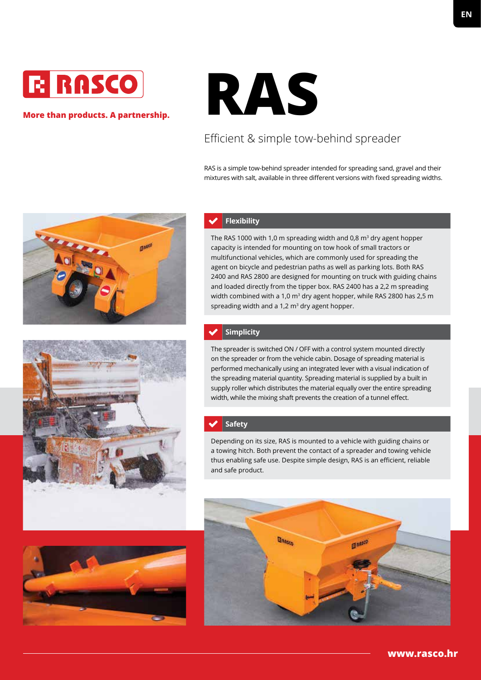

### **More than products. A partnership.**



# Efficient & simple tow-behind spreader

RAS is a simple tow-behind spreader intended for spreading sand, gravel and their mixtures with salt, available in three different versions with fixed spreading widths.



### **Flexibility**

The RAS 1000 with 1,0 m spreading width and 0,8  $\text{m}^3$  dry agent hopper capacity is intended for mounting on tow hook of small tractors or multifunctional vehicles, which are commonly used for spreading the agent on bicycle and pedestrian paths as well as parking lots. Both RAS 2400 and RAS 2800 are designed for mounting on truck with guiding chains and loaded directly from the tipper box. RAS 2400 has a 2,2 m spreading width combined with a 1,0 m<sup>3</sup> dry agent hopper, while RAS 2800 has 2,5 m spreading width and a 1,2  $m<sup>3</sup>$  dry agent hopper.

### **Simplicity**

The spreader is switched ON / OFF with a control system mounted directly on the spreader or from the vehicle cabin. Dosage of spreading material is performed mechanically using an integrated lever with a visual indication of the spreading material quantity. Spreading material is supplied by a built in supply roller which distributes the material equally over the entire spreading width, while the mixing shaft prevents the creation of a tunnel effect.

### **Safety**

Depending on its size, RAS is mounted to a vehicle with guiding chains or a towing hitch. Both prevent the contact of a spreader and towing vehicle thus enabling safe use. Despite simple design, RAS is an efficient, reliable and safe product.